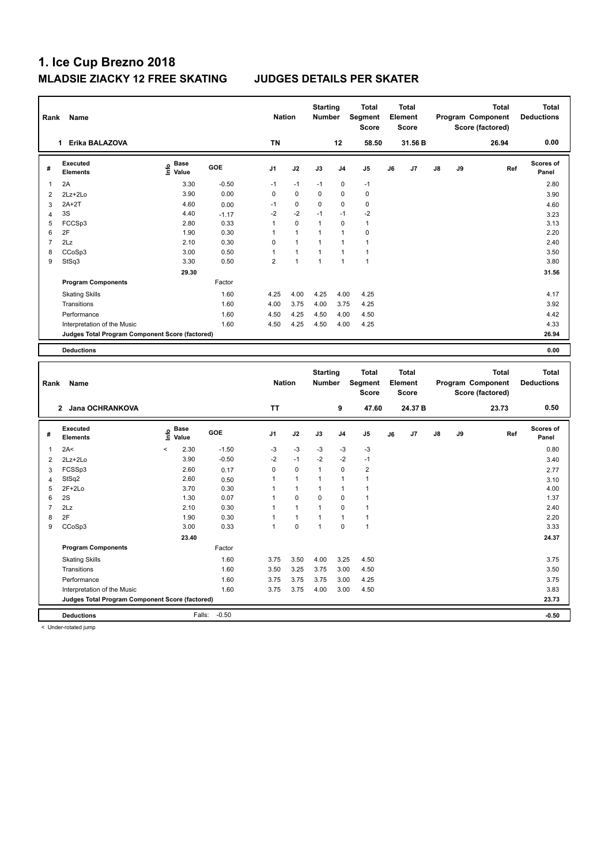| Rank                | Name                                            |                                           |              | <b>Nation</b>  |              | <b>Starting</b><br><b>Number</b> |                | <b>Total</b><br>Segment<br><b>Score</b> |    | <b>Total</b><br>Element<br><b>Score</b> |    |    | <b>Total</b><br>Program Component<br>Score (factored) |     | <b>Total</b><br><b>Deductions</b> |
|---------------------|-------------------------------------------------|-------------------------------------------|--------------|----------------|--------------|----------------------------------|----------------|-----------------------------------------|----|-----------------------------------------|----|----|-------------------------------------------------------|-----|-----------------------------------|
|                     | 1 Erika BALAZOVA                                |                                           |              | <b>TN</b>      |              |                                  | 12             | 58.50                                   |    | 31.56 B                                 |    |    | 26.94                                                 |     | 0.00                              |
| #                   | Executed<br>Elements                            | $\frac{e}{E}$ Base<br>$\frac{e}{E}$ Value | GOE          | J1             | J2           | J3                               | J4             | J <sub>5</sub>                          | J6 | J7                                      | J8 | J9 |                                                       | Ref | Scores of<br>Panel                |
| $\mathbf{1}$        | 2A                                              | 3.30                                      | $-0.50$      | $-1$           | $-1$         | $-1$                             | 0              | $-1$                                    |    |                                         |    |    |                                                       |     | 2.80                              |
| $\overline{2}$      | 2Lz+2Lo                                         | 3.90                                      | 0.00         | $\mathbf 0$    | 0            | 0                                | 0              | $\mathbf 0$                             |    |                                         |    |    |                                                       |     | 3.90                              |
| 3                   | $2A+2T$                                         | 4.60                                      | 0.00         | $-1$           | $\mathbf 0$  | 0                                | 0              | $\mathbf 0$                             |    |                                         |    |    |                                                       |     | 4.60                              |
| $\overline{4}$      | 3S                                              | 4.40                                      | $-1.17$      | $-2$           | $-2$         | $-1$                             | $-1$           | $-2$                                    |    |                                         |    |    |                                                       |     | 3.23                              |
| 5                   | FCCSp3                                          | 2.80                                      | 0.33         | $\mathbf{1}$   | 0            | $\mathbf{1}$                     | $\pmb{0}$      | $\mathbf{1}$                            |    |                                         |    |    |                                                       |     | 3.13                              |
| 6                   | 2F                                              | 1.90                                      | 0.30         | $\mathbf{1}$   | $\mathbf{1}$ | $\mathbf{1}$                     | $\mathbf{1}$   | $\mathbf 0$                             |    |                                         |    |    |                                                       |     | 2.20                              |
| $\overline{7}$      | 2Lz                                             | 2.10                                      | 0.30         | $\mathbf 0$    | $\mathbf{1}$ | $\mathbf{1}$                     | 1              | $\mathbf{1}$                            |    |                                         |    |    |                                                       |     | 2.40                              |
| 8                   | CCoSp3                                          | 3.00                                      | 0.50         | $\mathbf{1}$   | $\mathbf{1}$ | 1                                | 1              | $\overline{1}$                          |    |                                         |    |    |                                                       |     | 3.50                              |
| 9                   | StSq3                                           | 3.30                                      | 0.50         | $\overline{2}$ | 1            | $\mathbf{1}$                     | 1              | $\overline{1}$                          |    |                                         |    |    |                                                       |     | 3.80                              |
|                     |                                                 | 29.30                                     |              |                |              |                                  |                |                                         |    |                                         |    |    |                                                       |     | 31.56                             |
|                     | <b>Program Components</b>                       |                                           | Factor       |                |              |                                  |                |                                         |    |                                         |    |    |                                                       |     |                                   |
|                     | <b>Skating Skills</b>                           |                                           | 1.60         | 4.25           | 4.00         | 4.25                             | 4.00           | 4.25                                    |    |                                         |    |    |                                                       |     | 4.17                              |
|                     | Transitions                                     |                                           | 1.60         | 4.00           | 3.75         | 4.00                             | 3.75           | 4.25                                    |    |                                         |    |    |                                                       |     | 3.92                              |
|                     | Performance                                     |                                           | 1.60         | 4.50           | 4.25         | 4.50                             | 4.00           | 4.50                                    |    |                                         |    |    |                                                       |     | 4.42                              |
|                     |                                                 |                                           |              |                |              |                                  |                |                                         |    |                                         |    |    |                                                       |     |                                   |
|                     | Interpretation of the Music                     |                                           | 1.60         | 4.50           | 4.25         | 4.50                             | 4.00           | 4.25                                    |    |                                         |    |    |                                                       |     | 4.33<br>26.94                     |
|                     | Judges Total Program Component Score (factored) |                                           |              |                |              |                                  |                |                                         |    |                                         |    |    |                                                       |     |                                   |
|                     | <b>Deductions</b>                               |                                           |              |                |              |                                  |                |                                         |    |                                         |    |    |                                                       |     | 0.00                              |
|                     |                                                 |                                           |              |                |              |                                  |                |                                         |    |                                         |    |    |                                                       |     |                                   |
| Rank                | Name                                            |                                           |              | <b>Nation</b>  |              | <b>Starting</b><br>Number        |                | <b>Total</b><br>Segment                 |    | <b>Total</b><br>Element                 |    |    | <b>Total</b><br>Program Component                     |     | <b>Total</b><br><b>Deductions</b> |
|                     |                                                 |                                           |              |                |              |                                  |                | <b>Score</b>                            |    | Score                                   |    |    | Score (factored)                                      |     |                                   |
|                     | 2 Jana OCHRANKOVA                               |                                           |              | <b>TT</b>      |              |                                  | 9              | 47.60                                   |    | 24.37 B                                 |    |    | 23.73                                                 |     | 0.50                              |
| #                   | Executed<br><b>Elements</b>                     | e Base<br>E Value                         | GOE          | J1             | J2           | J3                               | J <sub>4</sub> | J <sub>5</sub>                          | J6 | J7                                      | J8 | J9 |                                                       | Ref | <b>Scores of</b><br>Panel         |
| 1                   | 2A<                                             | $\overline{\phantom{a}}$<br>2.30          | $-1.50$      | $-3$           | $-3$         | $-3$                             | $-3$           | $-3$                                    |    |                                         |    |    |                                                       |     | 0.80                              |
| $\overline{2}$      | $2Lz + 2Lo$                                     | 3.90                                      | $-0.50$      | $-2$           | $-1$         | $-2$                             | $-2$           | $-1$                                    |    |                                         |    |    |                                                       |     | 3.40                              |
|                     |                                                 | 2.60                                      |              | $\mathbf 0$    | $\mathbf 0$  | $\mathbf{1}$                     | 0              | $\overline{2}$                          |    |                                         |    |    |                                                       |     |                                   |
| 3                   | FCSSp3<br>StSq2                                 | 2.60                                      | 0.17         | $\mathbf{1}$   | $\mathbf{1}$ | 1                                | 1              | $\mathbf{1}$                            |    |                                         |    |    |                                                       |     | 2.77                              |
| $\overline{4}$<br>5 | $2F+2Lo$                                        | 3.70                                      | 0.50<br>0.30 | $\mathbf{1}$   | $\mathbf{1}$ | $\mathbf{1}$                     | 1              | $\mathbf{1}$                            |    |                                         |    |    |                                                       |     | 3.10<br>4.00                      |
| 6                   | 2S                                              | 1.30                                      | 0.07         | $\mathbf{1}$   | $\mathbf 0$  | 0                                | 0              | $\mathbf{1}$                            |    |                                         |    |    |                                                       |     | 1.37                              |
| $\overline{7}$      | 2Lz                                             | 2.10                                      | 0.30         | 1              | $\mathbf{1}$ | 1                                | 0              | $\mathbf{1}$                            |    |                                         |    |    |                                                       |     | 2.40                              |
| 8                   | 2F                                              | 1.90                                      | 0.30         | $\mathbf{1}$   | $\mathbf{1}$ | 1                                | $\mathbf{1}$   | $\overline{1}$                          |    |                                         |    |    |                                                       |     | 2.20                              |
| 9                   | CCoSp3                                          | 3.00                                      | 0.33         | $\mathbf{1}$   | $\mathbf 0$  | 1                                | 0              | $\mathbf{1}$                            |    |                                         |    |    |                                                       |     | 3.33                              |
|                     |                                                 | 23.40                                     |              |                |              |                                  |                |                                         |    |                                         |    |    |                                                       |     | 24.37                             |
|                     | <b>Program Components</b>                       |                                           | Factor       |                |              |                                  |                |                                         |    |                                         |    |    |                                                       |     |                                   |
|                     |                                                 |                                           |              |                |              |                                  |                |                                         |    |                                         |    |    |                                                       |     |                                   |
|                     | <b>Skating Skills</b>                           |                                           | 1.60         | 3.75           | 3.50         | 4.00                             | 3.25           | 4.50                                    |    |                                         |    |    |                                                       |     | 3.75                              |
|                     | Transitions                                     |                                           | 1.60         | 3.50           | 3.25         | 3.75                             | 3.00           | 4.50                                    |    |                                         |    |    |                                                       |     | 3.50                              |
|                     | Performance                                     |                                           | 1.60         | 3.75           | 3.75         | 3.75                             | 3.00           | 4.25                                    |    |                                         |    |    |                                                       |     | 3.75                              |
|                     | Interpretation of the Music                     |                                           | 1.60         | 3.75           | 3.75         | 4.00                             | 3.00           | 4.50                                    |    |                                         |    |    |                                                       |     | 3.83                              |
|                     | Judges Total Program Component Score (factored) |                                           |              |                |              |                                  |                |                                         |    |                                         |    |    |                                                       |     | 23.73                             |

< Under-rotated jump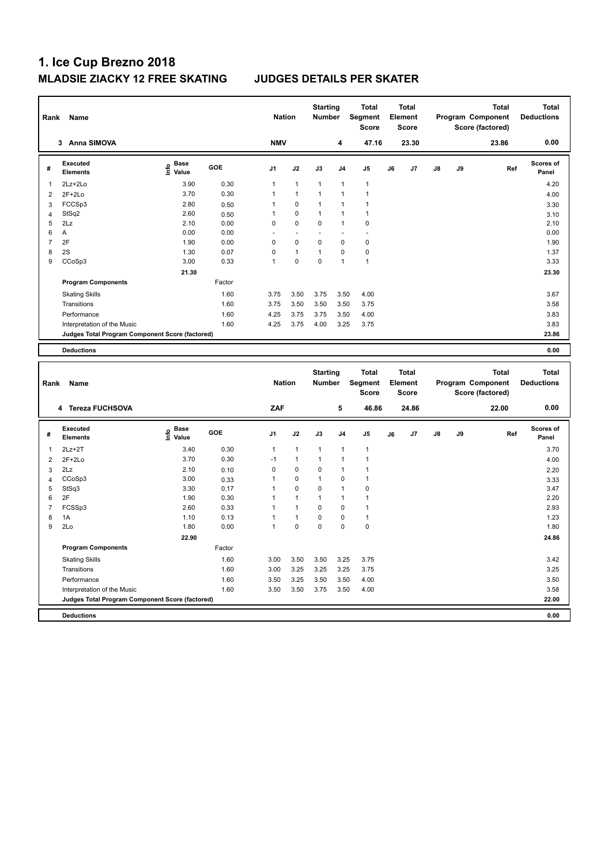| Rank                | Name                                            |                                           |              |                             | <b>Nation</b> | <b>Starting</b><br><b>Number</b> |                | <b>Total</b><br>Segment<br><b>Score</b> |    | <b>Total</b><br>Element<br><b>Score</b> |    |    | <b>Total</b><br>Program Component<br>Score (factored) | <b>Total</b><br><b>Deductions</b> |
|---------------------|-------------------------------------------------|-------------------------------------------|--------------|-----------------------------|---------------|----------------------------------|----------------|-----------------------------------------|----|-----------------------------------------|----|----|-------------------------------------------------------|-----------------------------------|
|                     | 3 Anna SIMOVA                                   |                                           |              | <b>NMV</b>                  |               |                                  | 4              | 47.16                                   |    | 23.30                                   |    |    | 23.86                                                 | 0.00                              |
| #                   | Executed<br><b>Elements</b>                     | $\frac{e}{E}$ Base<br>$\frac{E}{E}$ Value | GOE          | J1                          | J2            | J3                               | J <sub>4</sub> | J <sub>5</sub>                          | J6 | J7                                      | J8 | J9 | Ref                                                   | <b>Scores of</b><br>Panel         |
| $\overline{1}$      | 2Lz+2Lo                                         | 3.90                                      | 0.30         | $\mathbf{1}$                | $\mathbf{1}$  | 1                                | 1              | $\overline{1}$                          |    |                                         |    |    |                                                       | 4.20                              |
| $\overline{2}$      | $2F+2Lo$                                        | 3.70                                      | 0.30         | $\mathbf{1}$                | $\mathbf{1}$  | $\mathbf{1}$                     | 1              | $\overline{1}$                          |    |                                         |    |    |                                                       | 4.00                              |
| 3                   | FCCSp3                                          | 2.80                                      | 0.50         | $\mathbf{1}$                | 0             | 1                                | 1              | $\mathbf{1}$                            |    |                                         |    |    |                                                       | 3.30                              |
| $\overline{4}$      | StSq2                                           | 2.60                                      | 0.50         | 1                           | 0             | $\mathbf{1}$                     | 1              | $\overline{1}$                          |    |                                         |    |    |                                                       | 3.10                              |
| 5                   | 2Lz                                             | 2.10                                      | 0.00         | 0                           | 0             | $\Omega$                         | 1              | $\mathbf 0$                             |    |                                         |    |    |                                                       | 2.10                              |
| 6                   | Α                                               | 0.00                                      | 0.00         |                             |               |                                  |                | L,                                      |    |                                         |    |    |                                                       | 0.00                              |
| $\overline{7}$      | 2F                                              | 1.90                                      | 0.00         | $\mathbf 0$                 | 0             | 0                                | 0              | $\mathbf 0$                             |    |                                         |    |    |                                                       | 1.90                              |
| 8                   | 2S                                              | 1.30                                      | 0.07         | $\mathbf 0$                 | $\mathbf{1}$  | 1                                | 0              | $\pmb{0}$                               |    |                                         |    |    |                                                       | 1.37                              |
| 9                   | CCoSp3                                          | 3.00                                      | 0.33         | $\mathbf{1}$                | 0             | 0                                | 1              | $\overline{1}$                          |    |                                         |    |    |                                                       | 3.33                              |
|                     |                                                 | 21.30                                     |              |                             |               |                                  |                |                                         |    |                                         |    |    |                                                       | 23.30                             |
|                     | <b>Program Components</b>                       |                                           | Factor       |                             |               |                                  |                |                                         |    |                                         |    |    |                                                       |                                   |
|                     | <b>Skating Skills</b>                           |                                           | 1.60         | 3.75                        | 3.50          | 3.75                             | 3.50           | 4.00                                    |    |                                         |    |    |                                                       | 3.67                              |
|                     | Transitions                                     |                                           | 1.60         | 3.75                        | 3.50          | 3.50                             | 3.50           | 3.75                                    |    |                                         |    |    |                                                       | 3.58                              |
|                     | Performance                                     |                                           | 1.60         | 4.25                        | 3.75          | 3.75                             | 3.50           | 4.00                                    |    |                                         |    |    |                                                       | 3.83                              |
|                     | Interpretation of the Music                     |                                           | 1.60         | 4.25                        | 3.75          | 4.00                             | 3.25           | 3.75                                    |    |                                         |    |    |                                                       | 3.83                              |
|                     | Judges Total Program Component Score (factored) |                                           |              |                             |               |                                  |                |                                         |    |                                         |    |    |                                                       | 23.86                             |
|                     |                                                 |                                           |              |                             |               |                                  |                |                                         |    |                                         |    |    |                                                       |                                   |
|                     | <b>Deductions</b>                               |                                           |              |                             |               |                                  |                |                                         |    |                                         |    |    |                                                       | 0.00                              |
|                     |                                                 |                                           |              |                             |               |                                  |                |                                         |    |                                         |    |    |                                                       |                                   |
|                     |                                                 |                                           |              |                             |               |                                  |                |                                         |    |                                         |    |    |                                                       |                                   |
|                     |                                                 |                                           |              |                             |               | <b>Starting</b>                  |                | <b>Total</b>                            |    | <b>Total</b>                            |    |    | <b>Total</b>                                          | <b>Total</b>                      |
| Rank                | Name                                            |                                           |              | <b>Nation</b>               |               | <b>Number</b>                    |                | Segment                                 |    | Element                                 |    |    | Program Component                                     | <b>Deductions</b>                 |
|                     |                                                 |                                           |              |                             |               |                                  |                | <b>Score</b>                            |    | <b>Score</b>                            |    |    | Score (factored)                                      |                                   |
|                     | 4 Tereza FUCHSOVA                               |                                           |              | ZAF                         |               |                                  | 5              | 46.86                                   |    | 24.86                                   |    |    | 22.00                                                 | 0.00                              |
|                     |                                                 |                                           |              |                             |               |                                  |                |                                         |    |                                         |    |    |                                                       | <b>Scores of</b>                  |
| #                   | Executed<br><b>Elements</b>                     | e Base<br>E Value                         | GOE          | J1                          | J2            | J3                               | J <sub>4</sub> | J <sub>5</sub>                          | J6 | J7                                      | J8 | J9 | Ref                                                   | Panel                             |
|                     |                                                 |                                           |              |                             |               |                                  |                |                                         |    |                                         |    |    |                                                       |                                   |
| $\mathbf{1}$        | $2Lz+2T$                                        | 3.40                                      | 0.30         | $\mathbf{1}$                | $\mathbf{1}$  | 1                                | 1              | $\overline{1}$                          |    |                                         |    |    |                                                       | 3.70                              |
| $\overline{2}$      | $2F+2Lo$                                        | 3.70                                      | 0.30         | $-1$                        | $\mathbf{1}$  | 1                                | 1              | $\overline{1}$                          |    |                                         |    |    |                                                       | 4.00                              |
| 3                   | 2Lz                                             | 2.10                                      | 0.10         | $\mathbf 0$<br>$\mathbf{1}$ | $\mathbf 0$   | 0<br>1                           | $\mathbf{1}$   | $\overline{1}$<br>$\overline{1}$        |    |                                         |    |    |                                                       | 2.20                              |
| $\overline{4}$<br>5 | CCoSp3                                          | 3.00                                      | 0.33<br>0.17 | $\mathbf{1}$                | 0<br>0        | 0                                | 0<br>1         | $\pmb{0}$                               |    |                                         |    |    |                                                       | 3.33                              |
| 6                   | StSq3<br>2F                                     | 3.30<br>1.90                              | 0.30         | $\mathbf{1}$                | $\mathbf{1}$  | $\mathbf{1}$                     | 1              | $\overline{1}$                          |    |                                         |    |    |                                                       | 3.47<br>2.20                      |
| $\overline{7}$      | FCSSp3                                          | 2.60                                      | 0.33         | $\mathbf{1}$                | 1             | 0                                | 0              | $\mathbf{1}$                            |    |                                         |    |    |                                                       | 2.93                              |
| 8                   | 1A                                              | 1.10                                      | 0.13         | $\mathbf{1}$                | 1             | 0                                | 0              | $\mathbf{1}$                            |    |                                         |    |    |                                                       | 1.23                              |
| 9                   | 2Lo                                             | 1.80                                      | 0.00         | $\mathbf{1}$                | $\mathbf 0$   | $\mathbf 0$                      | $\mathbf 0$    | $\mathbf 0$                             |    |                                         |    |    |                                                       | 1.80                              |
|                     |                                                 | 22.90                                     |              |                             |               |                                  |                |                                         |    |                                         |    |    |                                                       |                                   |
|                     |                                                 |                                           | Factor       |                             |               |                                  |                |                                         |    |                                         |    |    |                                                       | 24.86                             |
|                     | <b>Program Components</b>                       |                                           |              |                             |               |                                  |                |                                         |    |                                         |    |    |                                                       |                                   |
|                     | <b>Skating Skills</b>                           |                                           | 1.60         | 3.00                        | 3.50          | 3.50                             | 3.25           | 3.75                                    |    |                                         |    |    |                                                       | 3.42                              |
|                     | Transitions                                     |                                           | 1.60         | 3.00                        | 3.25          | 3.25                             | 3.25           | 3.75                                    |    |                                         |    |    |                                                       | 3.25                              |
|                     | Performance                                     |                                           | 1.60         | 3.50                        | 3.25          | 3.50                             | 3.50           | 4.00                                    |    |                                         |    |    |                                                       | 3.50                              |
|                     | Interpretation of the Music                     |                                           | 1.60         | 3.50                        | 3.50          | 3.75                             | 3.50           | 4.00                                    |    |                                         |    |    |                                                       | 3.58                              |
|                     | Judges Total Program Component Score (factored) |                                           |              |                             |               |                                  |                |                                         |    |                                         |    |    |                                                       | 22.00                             |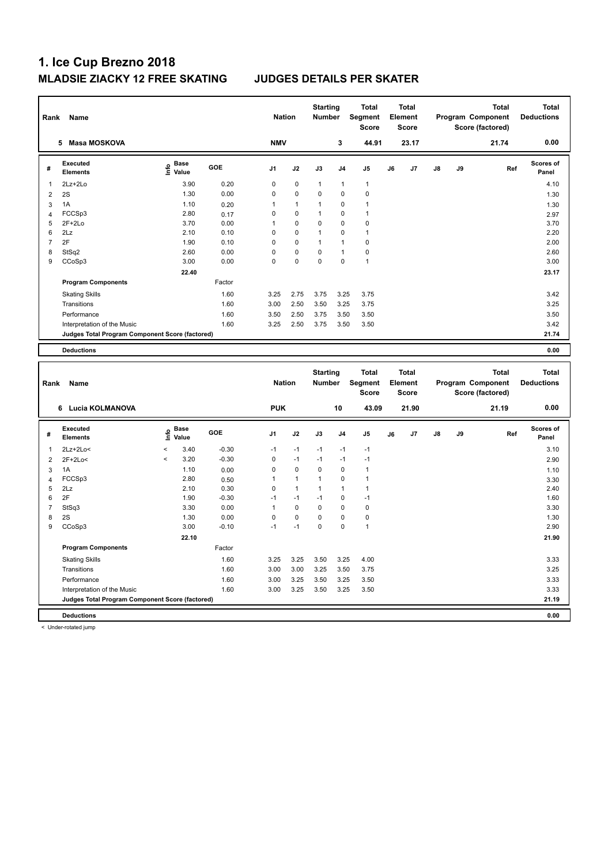| Rank                | Name                                            |                                           |                 | <b>Nation</b>                 |                             | <b>Starting</b><br><b>Number</b> |                            | Total<br>Segment<br><b>Score</b>        |    | Total<br>Element<br><b>Score</b>        |    |    | <b>Total</b><br>Program Component<br>Score (factored) | <b>Total</b><br><b>Deductions</b> |
|---------------------|-------------------------------------------------|-------------------------------------------|-----------------|-------------------------------|-----------------------------|----------------------------------|----------------------------|-----------------------------------------|----|-----------------------------------------|----|----|-------------------------------------------------------|-----------------------------------|
|                     | 5 Masa MOSKOVA                                  |                                           |                 | <b>NMV</b>                    |                             |                                  | 3                          | 44.91                                   |    | 23.17                                   |    |    | 21.74                                                 | 0.00                              |
| #                   | <b>Executed</b><br><b>Elements</b>              | $\frac{6}{5}$ Base<br>$\frac{5}{5}$ Value | GOE             | J <sub>1</sub>                | J2                          | J3                               | J <sub>4</sub>             | J <sub>5</sub>                          | J6 | J7                                      | J8 | J9 | Ref                                                   | <b>Scores of</b><br>Panel         |
| $\mathbf{1}$        | 2Lz+2Lo                                         | 3.90                                      | 0.20            | 0                             | 0                           | $\mathbf{1}$                     | $\mathbf{1}$               | $\overline{1}$                          |    |                                         |    |    |                                                       | 4.10                              |
| $\overline{2}$      | 2S                                              | 1.30                                      | 0.00            | $\mathbf 0$                   | $\pmb{0}$                   | 0                                | $\mathbf 0$                | $\mathbf 0$                             |    |                                         |    |    |                                                       | 1.30                              |
| $\mathbf{3}$        | 1A                                              | 1.10                                      | 0.20            | 1                             | $\mathbf{1}$                | 1                                | 0                          | $\overline{1}$                          |    |                                         |    |    |                                                       | 1.30                              |
| $\overline{4}$      | FCCSp3                                          | 2.80                                      | 0.17            | $\mathbf 0$                   | 0                           | $\mathbf{1}$                     | $\mathbf 0$                | $\overline{1}$                          |    |                                         |    |    |                                                       | 2.97                              |
| 5                   | $2F+2Lo$                                        | 3.70                                      | 0.00            | $\mathbf{1}$                  | 0                           | $\mathbf 0$                      | $\mathbf 0$                | $\pmb{0}$                               |    |                                         |    |    |                                                       | 3.70                              |
| 6                   | 2Lz                                             | 2.10                                      | 0.10            | $\pmb{0}$                     | 0                           | $\mathbf{1}$                     | $\mathbf 0$                | $\overline{1}$                          |    |                                         |    |    |                                                       | 2.20                              |
| $\overline{7}$      | 2F                                              | 1.90                                      | 0.10            | $\mathbf 0$                   | 0                           | $\mathbf{1}$                     | $\mathbf{1}$               | $\mathbf 0$                             |    |                                         |    |    |                                                       | 2.00                              |
| 8                   | StSq2                                           | 2.60                                      | 0.00            | $\mathbf 0$                   | $\pmb{0}$                   | 0                                | $\mathbf{1}$               | $\pmb{0}$                               |    |                                         |    |    |                                                       | 2.60                              |
| 9                   | CCoSp3                                          | 3.00                                      | 0.00            | $\mathbf 0$                   | $\pmb{0}$                   | 0                                | $\mathbf 0$                | $\overline{1}$                          |    |                                         |    |    |                                                       | 3.00                              |
|                     |                                                 | 22.40                                     |                 |                               |                             |                                  |                            |                                         |    |                                         |    |    |                                                       | 23.17                             |
|                     | <b>Program Components</b>                       |                                           | Factor          |                               |                             |                                  |                            |                                         |    |                                         |    |    |                                                       |                                   |
|                     | <b>Skating Skills</b>                           |                                           | 1.60            | 3.25                          | 2.75                        | 3.75                             | 3.25                       | 3.75                                    |    |                                         |    |    |                                                       | 3.42                              |
|                     | Transitions                                     |                                           | 1.60            | 3.00                          | 2.50                        | 3.50                             | 3.25                       | 3.75                                    |    |                                         |    |    |                                                       | 3.25                              |
|                     | Performance                                     |                                           | 1.60            | 3.50                          | 2.50                        | 3.75                             | 3.50                       | 3.50                                    |    |                                         |    |    |                                                       | 3.50                              |
|                     | Interpretation of the Music                     |                                           | 1.60            | 3.25                          | 2.50                        | 3.75                             | 3.50                       | 3.50                                    |    |                                         |    |    |                                                       | 3.42                              |
|                     | Judges Total Program Component Score (factored) |                                           |                 |                               |                             |                                  |                            |                                         |    |                                         |    |    |                                                       | 21.74                             |
|                     | <b>Deductions</b>                               |                                           |                 |                               |                             |                                  |                            |                                         |    |                                         |    |    |                                                       | 0.00                              |
|                     |                                                 |                                           |                 |                               |                             |                                  |                            |                                         |    |                                         |    |    |                                                       |                                   |
|                     |                                                 |                                           |                 |                               |                             |                                  |                            |                                         |    |                                         |    |    |                                                       |                                   |
| Rank                | Name                                            |                                           |                 | <b>Nation</b>                 |                             | <b>Starting</b><br><b>Number</b> |                            | <b>Total</b><br>Segment<br><b>Score</b> |    | <b>Total</b><br>Element<br><b>Score</b> |    |    | <b>Total</b><br>Program Component<br>Score (factored) | <b>Total</b><br><b>Deductions</b> |
|                     | 6 Lucia KOLMANOVA                               |                                           |                 | <b>PUK</b>                    |                             |                                  | 10                         | 43.09                                   |    | 21.90                                   |    |    | 21.19                                                 | 0.00                              |
| #                   | <b>Executed</b><br><b>Elements</b>              | <b>Base</b><br>١m<br>Value                | GOE             | J <sub>1</sub>                | J2                          | J3                               | J <sub>4</sub>             | J <sub>5</sub>                          | J6 | J7                                      | J8 | J9 | Ref                                                   | <b>Scores of</b><br>Panel         |
|                     |                                                 |                                           |                 |                               |                             |                                  |                            |                                         |    |                                         |    |    |                                                       |                                   |
| $\mathbf{1}$        | $2Lz + 2Lo <$                                   | $\,<$<br>3.40<br>$\,<$                    | $-0.30$         | $-1$                          | $-1$                        | $-1$<br>$-1$                     | -1                         | $-1$<br>$-1$                            |    |                                         |    |    |                                                       | 3.10                              |
| $\overline{2}$      | $2F+2Lo<$                                       | 3.20                                      | $-0.30$         | $\mathbf 0$                   | $-1$                        |                                  | $-1$                       |                                         |    |                                         |    |    |                                                       | 2.90                              |
| $\mathbf{3}$        | 1A                                              | 1.10<br>2.80                              | 0.00            | $\mathbf 0$<br>$\overline{1}$ | $\mathbf 0$<br>$\mathbf{1}$ | 0<br>$\mathbf{1}$                | $\mathbf 0$<br>$\mathbf 0$ | $\mathbf{1}$<br>$\mathbf{1}$            |    |                                         |    |    |                                                       | 1.10                              |
| $\overline{4}$<br>5 | FCCSp3<br>2Lz                                   | 2.10                                      | 0.50            | $\mathbf 0$                   | $\mathbf{1}$                | $\mathbf{1}$                     | 1                          | $\mathbf{1}$                            |    |                                         |    |    |                                                       | 3.30                              |
| 6                   | 2F                                              | 1.90                                      | 0.30<br>$-0.30$ | $-1$                          | $-1$                        | $-1$                             | $\mathbf 0$                | $-1$                                    |    |                                         |    |    |                                                       | 2.40<br>1.60                      |
| $\overline{7}$      | StSq3                                           | 3.30                                      | 0.00            | $\mathbf{1}$                  | $\Omega$                    | $\Omega$                         | $\Omega$                   | $\Omega$                                |    |                                         |    |    |                                                       | 3.30                              |
| 8                   | 2S                                              | 1.30                                      | 0.00            | $\mathbf 0$                   | 0                           | $\mathbf 0$                      | $\mathbf 0$                | $\mathbf 0$                             |    |                                         |    |    |                                                       | 1.30                              |
| 9                   | CCoSp3                                          | 3.00                                      | $-0.10$         | $-1$                          | $-1$                        | 0                                | $\mathbf 0$                | $\overline{1}$                          |    |                                         |    |    |                                                       | 2.90                              |
|                     |                                                 | 22.10                                     |                 |                               |                             |                                  |                            |                                         |    |                                         |    |    |                                                       | 21.90                             |
|                     | <b>Program Components</b>                       |                                           | Factor          |                               |                             |                                  |                            |                                         |    |                                         |    |    |                                                       |                                   |
|                     | <b>Skating Skills</b>                           |                                           | 1.60            | 3.25                          | 3.25                        | 3.50                             | 3.25                       | 4.00                                    |    |                                         |    |    |                                                       | 3.33                              |
|                     | Transitions                                     |                                           | 1.60            | 3.00                          | 3.00                        | 3.25                             | 3.50                       | 3.75                                    |    |                                         |    |    |                                                       | 3.25                              |
|                     | Performance                                     |                                           | 1.60            | 3.00                          | 3.25                        | 3.50                             | 3.25                       | 3.50                                    |    |                                         |    |    |                                                       | 3.33                              |
|                     | Interpretation of the Music                     |                                           | 1.60            | 3.00                          | 3.25                        | 3.50                             | 3.25                       | 3.50                                    |    |                                         |    |    |                                                       | 3.33                              |
|                     | Judges Total Program Component Score (factored) |                                           |                 |                               |                             |                                  |                            |                                         |    |                                         |    |    |                                                       | 21.19                             |

**Deductions 0.00**

< Under-rotated jump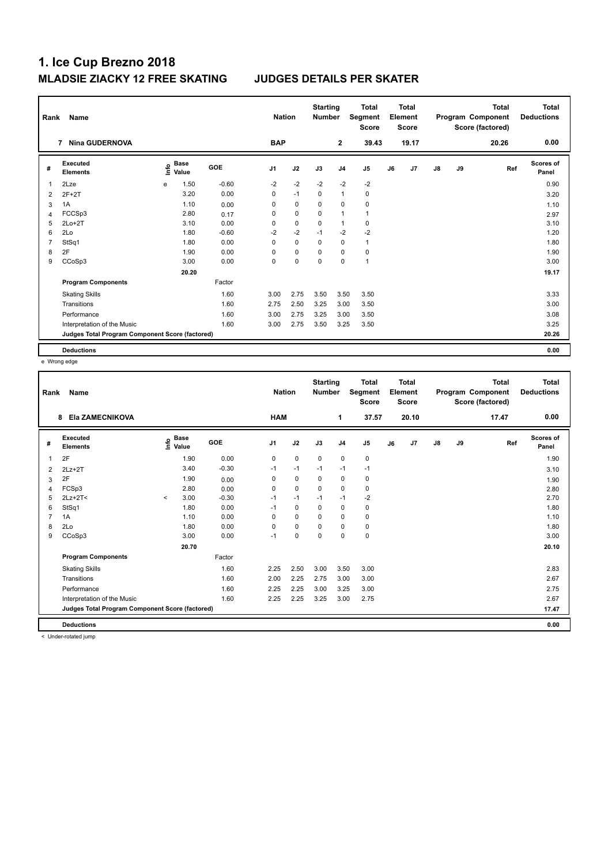| Rank           | Name                                            |      |                      |            | <b>Nation</b>  |             | <b>Starting</b><br><b>Number</b> |                | <b>Total</b><br>Segment<br><b>Score</b> |    | <b>Total</b><br>Element<br><b>Score</b> |               |    | <b>Total</b><br>Program Component<br>Score (factored) | Total<br><b>Deductions</b> |
|----------------|-------------------------------------------------|------|----------------------|------------|----------------|-------------|----------------------------------|----------------|-----------------------------------------|----|-----------------------------------------|---------------|----|-------------------------------------------------------|----------------------------|
|                | <b>Nina GUDERNOVA</b><br>7                      |      |                      |            | <b>BAP</b>     |             |                                  | $\overline{2}$ | 39.43                                   |    | 19.17                                   |               |    | 20.26                                                 | 0.00                       |
| #              | Executed<br><b>Elements</b>                     | ١nfo | <b>Base</b><br>Value | <b>GOE</b> | J <sub>1</sub> | J2          | J3                               | J <sub>4</sub> | J <sub>5</sub>                          | J6 | J7                                      | $\mathsf{J}8$ | J9 | Ref                                                   | Scores of<br>Panel         |
| 1              | 2Lze                                            | e    | 1.50                 | $-0.60$    | $-2$           | $-2$        | $-2$                             | $-2$           | $-2$                                    |    |                                         |               |    |                                                       | 0.90                       |
| $\overline{2}$ | $2F+2T$                                         |      | 3.20                 | 0.00       | 0              | $-1$        | 0                                | $\overline{1}$ | 0                                       |    |                                         |               |    |                                                       | 3.20                       |
| 3              | 1A                                              |      | 1.10                 | 0.00       | 0              | $\mathbf 0$ | 0                                | $\mathbf 0$    | $\pmb{0}$                               |    |                                         |               |    |                                                       | 1.10                       |
| 4              | FCCSp3                                          |      | 2.80                 | 0.17       | 0              | $\mathbf 0$ | 0                                | $\overline{1}$ | $\mathbf{1}$                            |    |                                         |               |    |                                                       | 2.97                       |
| 5              | $2Lo+2T$                                        |      | 3.10                 | 0.00       | 0              | $\mathbf 0$ | 0                                | $\mathbf{1}$   | 0                                       |    |                                         |               |    |                                                       | 3.10                       |
| 6              | 2Lo                                             |      | 1.80                 | $-0.60$    | $-2$           | $-2$        | $-1$                             | $-2$           | $-2$                                    |    |                                         |               |    |                                                       | 1.20                       |
| 7              | StSq1                                           |      | 1.80                 | 0.00       | $\Omega$       | $\Omega$    | $\Omega$                         | $\mathbf 0$    | $\mathbf{1}$                            |    |                                         |               |    |                                                       | 1.80                       |
| 8              | 2F                                              |      | 1.90                 | 0.00       | 0              | 0           | 0                                | 0              | $\pmb{0}$                               |    |                                         |               |    |                                                       | 1.90                       |
| 9              | CCoSp3                                          |      | 3.00                 | 0.00       | 0              | $\pmb{0}$   | 0                                | $\mathbf 0$    | $\mathbf{1}$                            |    |                                         |               |    |                                                       | 3.00                       |
|                |                                                 |      | 20.20                |            |                |             |                                  |                |                                         |    |                                         |               |    |                                                       | 19.17                      |
|                | <b>Program Components</b>                       |      |                      | Factor     |                |             |                                  |                |                                         |    |                                         |               |    |                                                       |                            |
|                | <b>Skating Skills</b>                           |      |                      | 1.60       | 3.00           | 2.75        | 3.50                             | 3.50           | 3.50                                    |    |                                         |               |    |                                                       | 3.33                       |
|                | Transitions                                     |      |                      | 1.60       | 2.75           | 2.50        | 3.25                             | 3.00           | 3.50                                    |    |                                         |               |    |                                                       | 3.00                       |
|                | Performance                                     |      |                      | 1.60       | 3.00           | 2.75        | 3.25                             | 3.00           | 3.50                                    |    |                                         |               |    |                                                       | 3.08                       |
|                | Interpretation of the Music                     |      |                      | 1.60       | 3.00           | 2.75        | 3.50                             | 3.25           | 3.50                                    |    |                                         |               |    |                                                       | 3.25                       |
|                | Judges Total Program Component Score (factored) |      |                      |            |                |             |                                  |                |                                         |    |                                         |               |    |                                                       | 20.26                      |
|                | <b>Deductions</b>                               |      |                      |            |                |             |                                  |                |                                         |    |                                         |               |    |                                                       | 0.00                       |

e Wrong edge

| Rank | Name                                            |         |                                  |         | <b>Nation</b>  |             | <b>Starting</b><br><b>Number</b> |                | <b>Total</b><br>Segment<br><b>Score</b> |    | <b>Total</b><br>Element<br><b>Score</b> |               |    | <b>Total</b><br>Program Component<br>Score (factored) | <b>Total</b><br><b>Deductions</b> |
|------|-------------------------------------------------|---------|----------------------------------|---------|----------------|-------------|----------------------------------|----------------|-----------------------------------------|----|-----------------------------------------|---------------|----|-------------------------------------------------------|-----------------------------------|
|      | Ela ZAMECNIKOVA<br>8                            |         |                                  |         | <b>HAM</b>     |             |                                  | 1              | 37.57                                   |    | 20.10                                   |               |    | 17.47                                                 | 0.00                              |
| #    | Executed<br><b>Elements</b>                     |         | <b>Base</b><br>e Base<br>⊆ Value | GOE     | J <sub>1</sub> | J2          | J3                               | J <sub>4</sub> | J5                                      | J6 | J <sub>7</sub>                          | $\mathsf{J}8$ | J9 | Ref                                                   | Scores of<br>Panel                |
| 1    | 2F                                              |         | 1.90                             | 0.00    | $\mathbf 0$    | $\mathbf 0$ | $\mathbf 0$                      | $\mathbf 0$    | $\pmb{0}$                               |    |                                         |               |    |                                                       | 1.90                              |
| 2    | $2Lz+2T$                                        |         | 3.40                             | $-0.30$ | $-1$           | $-1$        | $-1$                             | $-1$           | $-1$                                    |    |                                         |               |    |                                                       | 3.10                              |
| 3    | 2F                                              |         | 1.90                             | 0.00    | 0              | $\mathbf 0$ | $\mathbf 0$                      | $\mathbf 0$    | $\pmb{0}$                               |    |                                         |               |    |                                                       | 1.90                              |
| 4    | FCSp3                                           |         | 2.80                             | 0.00    | 0              | 0           | $\mathbf 0$                      | 0              | 0                                       |    |                                         |               |    |                                                       | 2.80                              |
| 5    | $2Lz+2T<$                                       | $\,<\,$ | 3.00                             | $-0.30$ | $-1$           | $-1$        | $-1$                             | $-1$           | $-2$                                    |    |                                         |               |    |                                                       | 2.70                              |
| 6    | StSq1                                           |         | 1.80                             | 0.00    | $-1$           | $\mathbf 0$ | $\Omega$                         | $\pmb{0}$      | $\pmb{0}$                               |    |                                         |               |    |                                                       | 1.80                              |
|      | 1A                                              |         | 1.10                             | 0.00    | 0              | $\mathbf 0$ | $\mathbf 0$                      | 0              | 0                                       |    |                                         |               |    |                                                       | 1.10                              |
| 8    | 2Lo                                             |         | 1.80                             | 0.00    | 0              | $\mathbf 0$ | $\Omega$                         | 0              | 0                                       |    |                                         |               |    |                                                       | 1.80                              |
| 9    | CCoSp3                                          |         | 3.00                             | 0.00    | $-1$           | $\mathbf 0$ | $\mathbf 0$                      | $\mathbf 0$    | $\pmb{0}$                               |    |                                         |               |    |                                                       | 3.00                              |
|      |                                                 |         | 20.70                            |         |                |             |                                  |                |                                         |    |                                         |               |    |                                                       | 20.10                             |
|      | <b>Program Components</b>                       |         |                                  | Factor  |                |             |                                  |                |                                         |    |                                         |               |    |                                                       |                                   |
|      | <b>Skating Skills</b>                           |         |                                  | 1.60    | 2.25           | 2.50        | 3.00                             | 3.50           | 3.00                                    |    |                                         |               |    |                                                       | 2.83                              |
|      | Transitions                                     |         |                                  | 1.60    | 2.00           | 2.25        | 2.75                             | 3.00           | 3.00                                    |    |                                         |               |    |                                                       | 2.67                              |
|      | Performance                                     |         |                                  | 1.60    | 2.25           | 2.25        | 3.00                             | 3.25           | 3.00                                    |    |                                         |               |    |                                                       | 2.75                              |
|      | Interpretation of the Music                     |         |                                  | 1.60    | 2.25           | 2.25        | 3.25                             | 3.00           | 2.75                                    |    |                                         |               |    |                                                       | 2.67                              |
|      | Judges Total Program Component Score (factored) |         |                                  |         |                |             |                                  |                |                                         |    |                                         |               |    |                                                       | 17.47                             |
|      | <b>Deductions</b>                               |         |                                  |         |                |             |                                  |                |                                         |    |                                         |               |    |                                                       | 0.00                              |

< Under-rotated jump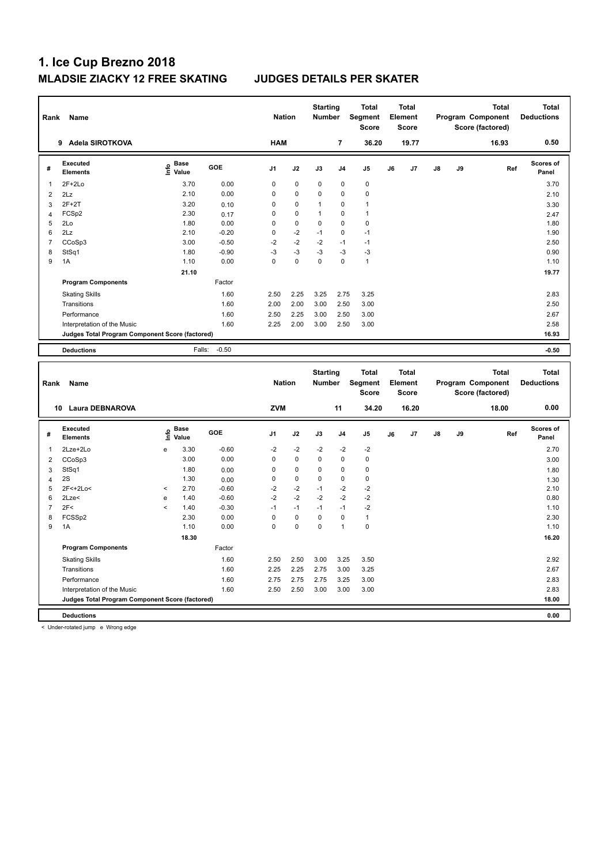| Rank           | Name                                            |                                           |              | <b>Nation</b>           |             | <b>Starting</b><br>Number |                   | <b>Total</b><br>Segment<br><b>Score</b> |    | <b>Total</b><br>Element<br><b>Score</b> |    |    | <b>Total</b><br>Program Component<br>Score (factored) | <b>Total</b><br><b>Deductions</b> |
|----------------|-------------------------------------------------|-------------------------------------------|--------------|-------------------------|-------------|---------------------------|-------------------|-----------------------------------------|----|-----------------------------------------|----|----|-------------------------------------------------------|-----------------------------------|
|                | 9 Adela SIROTKOVA                               |                                           |              | <b>HAM</b>              |             |                           | $\overline{7}$    | 36.20                                   |    | 19.77                                   |    |    | 16.93                                                 | 0.50                              |
| #              | Executed<br><b>Elements</b>                     | $\frac{e}{E}$ Base<br>$\frac{E}{E}$ Value | GOE          | J1                      | J2          | J3                        | J4                | J <sub>5</sub>                          | J6 | J7                                      | J8 | J9 | Ref                                                   | Scores of<br>Panel                |
| $\mathbf{1}$   | $2F+2Lo$                                        | 3.70                                      | 0.00         | $\mathbf 0$             | 0           | 0                         | 0                 | $\mathbf 0$                             |    |                                         |    |    |                                                       | 3.70                              |
| $\overline{2}$ | 2Lz                                             | 2.10                                      | 0.00         | $\mathbf 0$             | 0           | 0                         | 0                 | $\pmb{0}$                               |    |                                         |    |    |                                                       | 2.10                              |
| 3              | $2F+2T$                                         | 3.20                                      | 0.10         | $\mathbf 0$             | $\mathbf 0$ | 1                         | 0                 | $\overline{1}$                          |    |                                         |    |    |                                                       | 3.30                              |
| $\overline{4}$ | FCS <sub>p2</sub>                               | 2.30                                      | 0.17         | $\mathbf 0$             | 0           | 1                         | 0                 | $\overline{1}$                          |    |                                         |    |    |                                                       | 2.47                              |
| 5              | 2Lo                                             | 1.80                                      | 0.00         | $\mathbf 0$             | $\mathbf 0$ | 0                         | 0                 | $\pmb{0}$                               |    |                                         |    |    |                                                       | 1.80                              |
| 6              | 2Lz                                             | 2.10                                      | $-0.20$      | $\mathbf 0$             | $-2$        | $-1$                      | 0                 | $-1$                                    |    |                                         |    |    |                                                       | 1.90                              |
| $\overline{7}$ | CCoSp3                                          | 3.00                                      | $-0.50$      | $-2$                    | $-2$        | $-2$                      | $-1$              | $-1$                                    |    |                                         |    |    |                                                       | 2.50                              |
| 8              | StSq1                                           | 1.80                                      | $-0.90$      | $-3$                    | $-3$        | $-3$                      | $-3$              | $-3$                                    |    |                                         |    |    |                                                       | 0.90                              |
| 9              | 1A                                              | 1.10                                      | 0.00         | $\Omega$                | 0           | $\mathbf 0$               | $\Omega$          | $\mathbf{1}$                            |    |                                         |    |    |                                                       | 1.10                              |
|                |                                                 | 21.10                                     |              |                         |             |                           |                   |                                         |    |                                         |    |    |                                                       | 19.77                             |
|                | <b>Program Components</b>                       |                                           | Factor       |                         |             |                           |                   |                                         |    |                                         |    |    |                                                       |                                   |
|                | <b>Skating Skills</b>                           |                                           | 1.60         | 2.50                    | 2.25        | 3.25                      | 2.75              | 3.25                                    |    |                                         |    |    |                                                       | 2.83                              |
|                | Transitions                                     |                                           | 1.60         | 2.00                    | 2.00        | 3.00                      | 2.50              | 3.00                                    |    |                                         |    |    |                                                       | 2.50                              |
|                | Performance                                     |                                           | 1.60         | 2.50                    | 2.25        | 3.00                      | 2.50              | 3.00                                    |    |                                         |    |    |                                                       | 2.67                              |
|                | Interpretation of the Music                     |                                           | 1.60         | 2.25                    | 2.00        | 3.00                      | 2.50              | 3.00                                    |    |                                         |    |    |                                                       | 2.58                              |
|                | Judges Total Program Component Score (factored) |                                           |              |                         |             |                           |                   |                                         |    |                                         |    |    |                                                       | 16.93                             |
|                |                                                 |                                           |              |                         |             |                           |                   |                                         |    |                                         |    |    |                                                       |                                   |
|                | <b>Deductions</b>                               | Falls:                                    | $-0.50$      |                         |             |                           |                   |                                         |    |                                         |    |    |                                                       | $-0.50$                           |
|                |                                                 |                                           |              |                         |             |                           |                   |                                         |    |                                         |    |    |                                                       |                                   |
| Rank           | Name                                            |                                           |              | <b>Nation</b>           |             | <b>Starting</b><br>Number |                   | <b>Total</b><br>Segment<br><b>Score</b> |    | <b>Total</b><br>Element<br>Score        |    |    | <b>Total</b><br>Program Component<br>Score (factored) | <b>Total</b><br><b>Deductions</b> |
|                | 10 Laura DEBNAROVA                              |                                           |              | <b>ZVM</b>              |             |                           | 11                | 34.20                                   |    | 16.20                                   |    |    | 18.00                                                 | 0.00                              |
| $\#$           | Executed<br><b>Elements</b>                     | e Base<br>E Value                         | GOE          | J1                      | J2          | J3                        | J4                | J <sub>5</sub>                          | J6 | J7                                      | J8 | J9 | Ref                                                   | <b>Scores of</b><br>Panel         |
|                |                                                 |                                           |              |                         |             |                           |                   |                                         |    |                                         |    |    |                                                       |                                   |
| $\mathbf{1}$   | 2Lze+2Lo                                        | 3.30<br>e                                 | $-0.60$      | $-2$                    | $-2$        | $-2$                      | $-2$              | $-2$                                    |    |                                         |    |    |                                                       | 2.70                              |
| $\overline{2}$ | CCoSp3                                          | 3.00                                      | 0.00         | $\mathbf 0$             | $\mathbf 0$ | 0                         | 0                 | $\pmb{0}$                               |    |                                         |    |    |                                                       | 3.00                              |
| 3              | StSq1                                           | 1.80                                      | 0.00         | $\mathbf 0$             | 0           | 0                         | 0                 | $\mathbf 0$                             |    |                                         |    |    |                                                       | 1.80                              |
| $\overline{4}$ | 2S                                              | 1.30                                      | 0.00         | $\mathbf 0$             | $\mathbf 0$ | 0                         | 0                 | $\mathbf 0$                             |    |                                         |    |    |                                                       | 1.30                              |
| 5              | 2F<+2Lo<                                        | 2.70<br>$\,<$                             | $-0.60$      | $-2$                    | $-2$        | $-1$                      | $-2$              | $-2$                                    |    |                                         |    |    |                                                       | 2.10                              |
| 6              | $2$ Lze $<$                                     | 1.40<br>e<br>$\,<$                        | $-0.60$      | $-2$                    | $-2$        | $-2$                      | $-2$              | $-2$                                    |    |                                         |    |    |                                                       | 0.80                              |
| $\overline{7}$ | 2F<                                             | 1.40                                      | $-0.30$      | $-1$                    | $-1$        | $-1$                      | $-1$              | $-2$                                    |    |                                         |    |    |                                                       | 1.10                              |
| 8<br>9         | FCSSp2<br>1A                                    | 2.30<br>1.10                              | 0.00<br>0.00 | $\mathbf 0$<br>$\Omega$ | 0<br>0      | 0<br>$\Omega$             | 0<br>$\mathbf{1}$ | $\overline{1}$<br>$\mathbf 0$           |    |                                         |    |    |                                                       | 2.30<br>1.10                      |
|                |                                                 |                                           |              |                         |             |                           |                   |                                         |    |                                         |    |    |                                                       |                                   |
|                |                                                 | 18.30                                     |              |                         |             |                           |                   |                                         |    |                                         |    |    |                                                       | 16.20                             |
|                | <b>Program Components</b>                       |                                           | Factor       |                         |             |                           |                   |                                         |    |                                         |    |    |                                                       |                                   |
|                | <b>Skating Skills</b>                           |                                           | 1.60         | 2.50                    | 2.50        | 3.00                      | 3.25              | 3.50                                    |    |                                         |    |    |                                                       | 2.92                              |
|                | Transitions                                     |                                           | 1.60         | 2.25                    | 2.25        | 2.75                      | 3.00              | 3.25                                    |    |                                         |    |    |                                                       | 2.67                              |
|                | Performance                                     |                                           | 1.60         | 2.75                    | 2.75        | 2.75                      | 3.25              | 3.00                                    |    |                                         |    |    |                                                       | 2.83                              |
|                | Interpretation of the Music                     |                                           | 1.60         | 2.50                    | 2.50        | 3.00                      | 3.00              | 3.00                                    |    |                                         |    |    |                                                       | 2.83                              |
|                | Judges Total Program Component Score (factored) |                                           |              |                         |             |                           |                   |                                         |    |                                         |    |    |                                                       | 18.00                             |

< Under-rotated jump e Wrong edge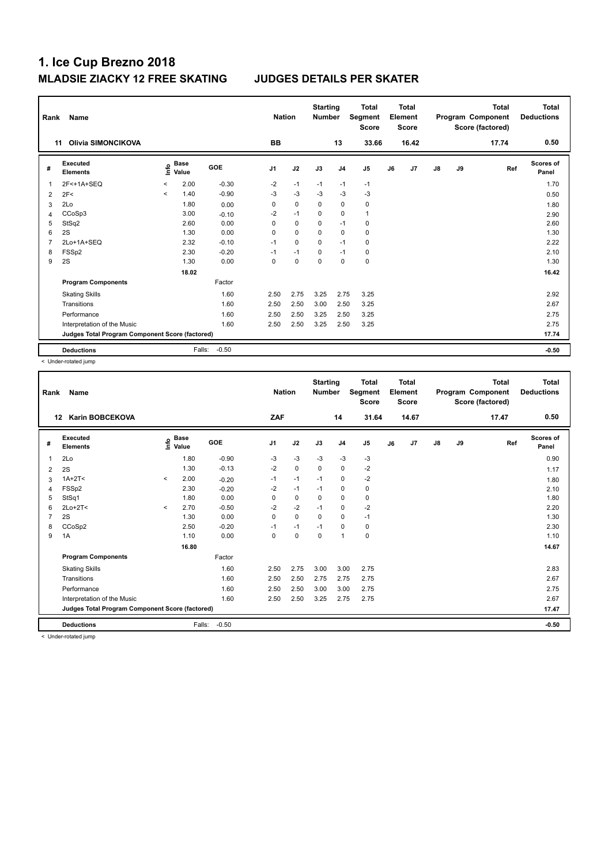| Rank           | Name                                            |                          |                      |            | <b>Nation</b>  |             | <b>Starting</b><br><b>Number</b> |                | <b>Total</b><br>Segment<br><b>Score</b> |    | Total<br>Element<br><b>Score</b> |    |    | <b>Total</b><br>Program Component<br>Score (factored) | Total<br><b>Deductions</b> |
|----------------|-------------------------------------------------|--------------------------|----------------------|------------|----------------|-------------|----------------------------------|----------------|-----------------------------------------|----|----------------------------------|----|----|-------------------------------------------------------|----------------------------|
|                | Olivia SIMONCIKOVA<br>11                        |                          |                      |            | <b>BB</b>      |             |                                  | 13             | 33.66                                   |    | 16.42                            |    |    | 17.74                                                 | 0.50                       |
| #              | <b>Executed</b><br><b>Elements</b>              | ١nfo                     | <b>Base</b><br>Value | <b>GOE</b> | J <sub>1</sub> | J2          | J3                               | J <sub>4</sub> | J5                                      | J6 | J7                               | J8 | J9 | Ref                                                   | Scores of<br>Panel         |
| 1              | 2F<+1A+SEQ                                      | $\overline{\phantom{a}}$ | 2.00                 | $-0.30$    | $-2$           | $-1$        | $-1$                             | $-1$           | $-1$                                    |    |                                  |    |    |                                                       | 1.70                       |
| $\overline{2}$ | 2F<                                             | $\prec$                  | 1.40                 | $-0.90$    | $-3$           | $-3$        | $-3$                             | $-3$           | $-3$                                    |    |                                  |    |    |                                                       | 0.50                       |
| 3              | 2Lo                                             |                          | 1.80                 | 0.00       | 0              | $\mathbf 0$ | 0                                | $\mathbf 0$    | $\pmb{0}$                               |    |                                  |    |    |                                                       | 1.80                       |
| $\overline{4}$ | CCoSp3                                          |                          | 3.00                 | $-0.10$    | $-2$           | $-1$        | $\Omega$                         | $\mathbf 0$    | $\mathbf{1}$                            |    |                                  |    |    |                                                       | 2.90                       |
| 5              | StSq2                                           |                          | 2.60                 | 0.00       | 0              | 0           | 0                                | $-1$           | 0                                       |    |                                  |    |    |                                                       | 2.60                       |
| 6              | 2S                                              |                          | 1.30                 | 0.00       | $\Omega$       | $\mathbf 0$ | $\Omega$                         | $\mathbf 0$    | $\mathbf 0$                             |    |                                  |    |    |                                                       | 1.30                       |
| 7              | 2Lo+1A+SEQ                                      |                          | 2.32                 | $-0.10$    | $-1$           | $\mathbf 0$ | $\Omega$                         | $-1$           | 0                                       |    |                                  |    |    |                                                       | 2.22                       |
| 8              | FSSp2                                           |                          | 2.30                 | $-0.20$    | $-1$           | $-1$        | 0                                | $-1$           | 0                                       |    |                                  |    |    |                                                       | 2.10                       |
| 9              | 2S                                              |                          | 1.30                 | 0.00       | $\Omega$       | 0           | 0                                | $\Omega$       | $\pmb{0}$                               |    |                                  |    |    |                                                       | 1.30                       |
|                |                                                 |                          | 18.02                |            |                |             |                                  |                |                                         |    |                                  |    |    |                                                       | 16.42                      |
|                | <b>Program Components</b>                       |                          |                      | Factor     |                |             |                                  |                |                                         |    |                                  |    |    |                                                       |                            |
|                | <b>Skating Skills</b>                           |                          |                      | 1.60       | 2.50           | 2.75        | 3.25                             | 2.75           | 3.25                                    |    |                                  |    |    |                                                       | 2.92                       |
|                | Transitions                                     |                          |                      | 1.60       | 2.50           | 2.50        | 3.00                             | 2.50           | 3.25                                    |    |                                  |    |    |                                                       | 2.67                       |
|                | Performance                                     |                          |                      | 1.60       | 2.50           | 2.50        | 3.25                             | 2.50           | 3.25                                    |    |                                  |    |    |                                                       | 2.75                       |
|                | Interpretation of the Music                     |                          |                      | 1.60       | 2.50           | 2.50        | 3.25                             | 2.50           | 3.25                                    |    |                                  |    |    |                                                       | 2.75                       |
|                | Judges Total Program Component Score (factored) |                          |                      |            |                |             |                                  |                |                                         |    |                                  |    |    |                                                       | 17.74                      |
|                | <b>Deductions</b>                               |                          | Falls:               | $-0.50$    |                |             |                                  |                |                                         |    |                                  |    |    |                                                       | $-0.50$                    |

< Under-rotated jump

| Rank | <b>Name</b>                                     |         |                                    |         | <b>Nation</b>  |             | <b>Starting</b><br><b>Number</b> |                | <b>Total</b><br>Segment<br><b>Score</b> |    | <b>Total</b><br>Element<br><b>Score</b> |               |    | <b>Total</b><br>Program Component<br>Score (factored) | <b>Total</b><br><b>Deductions</b> |
|------|-------------------------------------------------|---------|------------------------------------|---------|----------------|-------------|----------------------------------|----------------|-----------------------------------------|----|-----------------------------------------|---------------|----|-------------------------------------------------------|-----------------------------------|
|      | <b>Karin BOBCEKOVA</b><br>$12 \,$               |         |                                    |         | ZAF            |             |                                  | 14             | 31.64                                   |    | 14.67                                   |               |    | 17.47                                                 | 0.50                              |
| #    | Executed<br><b>Elements</b>                     |         | <b>Base</b><br>$\frac{6}{5}$ Value | GOE     | J <sub>1</sub> | J2          | J3                               | J <sub>4</sub> | J <sub>5</sub>                          | J6 | J7                                      | $\mathsf{J}8$ | J9 | Ref                                                   | <b>Scores of</b><br>Panel         |
| 1    | 2Lo                                             |         | 1.80                               | $-0.90$ | -3             | $-3$        | $-3$                             | $-3$           | $-3$                                    |    |                                         |               |    |                                                       | 0.90                              |
| 2    | 2S                                              |         | 1.30                               | $-0.13$ | $-2$           | $\mathbf 0$ | 0                                | 0              | $-2$                                    |    |                                         |               |    |                                                       | 1.17                              |
| 3    | $1A+2T<$                                        | $\prec$ | 2.00                               | $-0.20$ | $-1$           | $-1$        | $-1$                             | 0              | $-2$                                    |    |                                         |               |    |                                                       | 1.80                              |
| 4    | FSSp2                                           |         | 2.30                               | $-0.20$ | $-2$           | $-1$        | $-1$                             | 0              | $\mathbf 0$                             |    |                                         |               |    |                                                       | 2.10                              |
| 5    | StSq1                                           |         | 1.80                               | 0.00    | 0              | 0           | 0                                | 0              | 0                                       |    |                                         |               |    |                                                       | 1.80                              |
| 6    | $2Lo+2T<$                                       | $\prec$ | 2.70                               | $-0.50$ | $-2$           | $-2$        | $-1$                             | 0              | $-2$                                    |    |                                         |               |    |                                                       | 2.20                              |
|      | 2S                                              |         | 1.30                               | 0.00    | 0              | $\mathbf 0$ | 0                                | 0              | $-1$                                    |    |                                         |               |    |                                                       | 1.30                              |
| 8    | CCoSp2                                          |         | 2.50                               | $-0.20$ | $-1$           | $-1$        | $-1$                             | $\mathbf 0$    | $\pmb{0}$                               |    |                                         |               |    |                                                       | 2.30                              |
| 9    | 1A                                              |         | 1.10                               | 0.00    | $\Omega$       | $\mathbf 0$ | $\mathbf 0$                      | $\overline{1}$ | $\pmb{0}$                               |    |                                         |               |    |                                                       | 1.10                              |
|      |                                                 |         | 16.80                              |         |                |             |                                  |                |                                         |    |                                         |               |    |                                                       | 14.67                             |
|      | <b>Program Components</b>                       |         |                                    | Factor  |                |             |                                  |                |                                         |    |                                         |               |    |                                                       |                                   |
|      | <b>Skating Skills</b>                           |         |                                    | 1.60    | 2.50           | 2.75        | 3.00                             | 3.00           | 2.75                                    |    |                                         |               |    |                                                       | 2.83                              |
|      | Transitions                                     |         |                                    | 1.60    | 2.50           | 2.50        | 2.75                             | 2.75           | 2.75                                    |    |                                         |               |    |                                                       | 2.67                              |
|      | Performance                                     |         |                                    | 1.60    | 2.50           | 2.50        | 3.00                             | 3.00           | 2.75                                    |    |                                         |               |    |                                                       | 2.75                              |
|      | Interpretation of the Music                     |         |                                    | 1.60    | 2.50           | 2.50        | 3.25                             | 2.75           | 2.75                                    |    |                                         |               |    |                                                       | 2.67                              |
|      | Judges Total Program Component Score (factored) |         |                                    |         |                |             |                                  |                |                                         |    |                                         |               |    |                                                       | 17.47                             |
|      | <b>Deductions</b>                               |         | Falls:                             | $-0.50$ |                |             |                                  |                |                                         |    |                                         |               |    |                                                       | $-0.50$                           |

< Under-rotated jump